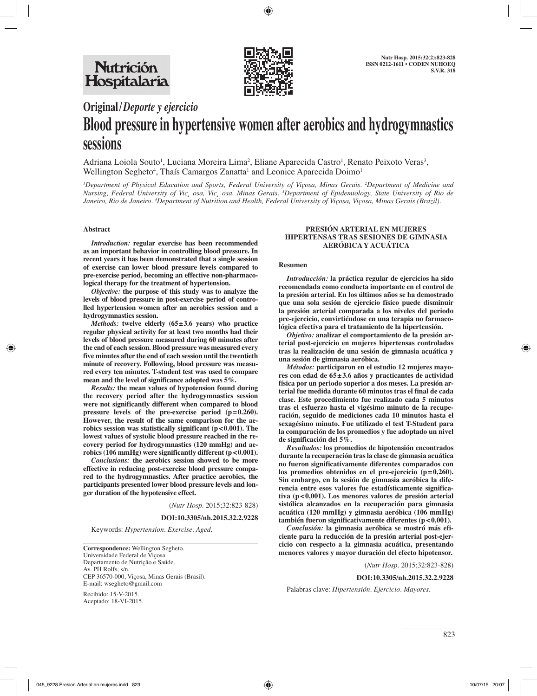

# **Original/***Deporte y ejercicio*

# **Blood pressure in hypertensive women after aerobics and hydrogymnastics sessions**

Adriana Loiola Souto<sup>1</sup>, Luciana Moreira Lima<sup>2</sup>, Eliane Aparecida Castro<sup>1</sup>, Renato Peixoto Veras<sup>3</sup>, Wellington Segheto<sup>4</sup>, Thaís Camargos Zanatta<sup>1</sup> and Leonice Aparecida Doimo<sup>1</sup>

*1 Department of Physical Education and Sports, Federal University of Viçosa, Minas Gerais. 2 Department of Medicine and Nursing, Federal University of Vic¸ osa, Vic¸ osa, Minas Gerais. 3 Department of Epidemiology, State University of Rio de Janeiro, Rio de Janeiro. 4 Department of Nutrition and Health, Federal University of Viçosa, Viçosa, Minas Gerais (Brazil).*

# **Abstract**

*Introduction:* **regular exercise has been recommended as an important behavior in controlling blood pressure. In recent years it has been demonstrated that a single session of exercise can lower blood pressure levels compared to pre-exercise period, becoming an effective non-pharmacological therapy for the treatment of hypertension.** 

*Objective:* **the purpose of this study was to analyze the levels of blood pressure in post-exercise period of controlled hypertension women after an aerobics session and a hydrogymnastics session.**

*Methods:* **twelve elderly (65±3.6 years) who practice regular physical activity for at least two months had their levels of blood pressure measured during 60 minutes after the end of each session. Blood pressure was measured every five minutes after the end of each session until the twentieth minute of recovery. Following, blood pressure was measured every ten minutes. T-student test was used to compare mean and the level of significance adopted was 5%.** 

*Results:* **the mean values of hypotension found during the recovery period after the hydrogymnastics session were not significantly different when compared to blood pressure levels of the pre-exercise period (p=0.260). However, the result of the same comparison for the ae**robics session was statistically significant (p<0.001). The **lowest values of systolic blood pressure reached in the recovery period for hydrogymnastics (120 mmHg) and aerobics (106 mmHg) were significantly different (p<0.001).** 

*Conclusions:* **the aerobics session showed to be more effective in reducing post-exercise blood pressure compared to the hydrogymnastics. After practice aerobics, the participants presented lower blood pressure levels and longer duration of the hypotensive effect.**

(*Nutr Hosp.* 2015;32:823-828)

**DOI:10.3305/nh.2015.32.2.9228**

Keywords: *Hypertension. Exercise. Aged.*

**Correspondence:** Wellington Segheto. Universidade Federal de Viçosa. Departamento de Nutrição e Saúde. Av. PH Rolfs, s/n. CEP 36570-000, Viçosa, Minas Gerais (Brasil). E-mail: wsegheto@gmail.com

Recibido: 15-V-2015. Aceptado: 18-VI-2015.

# **PRESIÓN ARTERIAL EN MUJERES HIPERTENSAS TRAS SESIONES DE GIMNASIA AERÓBICA Y ACUÁTICA**

#### **Resumen**

*Introducción:* **la práctica regular de ejercicios ha sido recomendada como conducta importante en el control de la presión arterial. En los últimos años se ha demostrado que una sola sesión de ejercicio físico puede disminuir la presión arterial comparada a los niveles del periodo pre-ejercicio, convirtiéndose en una terapia no farmacológica efectiva para el tratamiento de la hipertensión.**

*Objetivo:* **analizar el comportamiento de la presión arterial post-ejercicio en mujeres hipertensas controladas tras la realización de una sesión de gimnasia acuática y una sesión de gimnasia aeróbica.** 

*Métodos:* **participaron en el estudio 12 mujeres mayores con edad de 65±3.6 años y practicantes de actividad física por un periodo superior a dos meses. La presión arterial fue medida durante 60 minutos tras el final de cada clase. Este procedimiento fue realizado cada 5 minutos tras el esfuerzo hasta el vigésimo minuto de la recuperación, seguido de mediciones cada 10 minutos hasta el sexagésimo minuto. Fue utilizado el test T-Student para la comparación de los promedios y fue adoptado un nivel de significación del 5%.**

*Resultados:* **los promedios de hipotensión encontrados durante la recuperación tras la clase de gimnasia acuática no fueron significativamente diferentes comparados con los promedios obtenidos en el pre-ejercicio (p=0,260). Sin embargo, en la sesión de gimnasia aeróbica la diferencia entre esos valores fue estadísticamente significativa (p<0,001). Los menores valores de presión arterial sistólica alcanzados en la recuperación para gimnasia acuática (120 mmHg) y gimnasia aeróbica (106 mmHg) también fueron significativamente diferentes (p<0,001).** 

*Conclusión:* **la gimnasia aeróbica se mostró más eficiente para la reducción de la presión arterial post-ejercicio con respecto a la gimnasia acuática, presentando menores valores y mayor duración del efecto hipotensor.**

(*Nutr Hosp.* 2015;32:823-828)

#### **DOI:10.3305/nh.2015.32.2.9228**

Palabras clave: *Hipertensión. Ejercicio. Mayores.*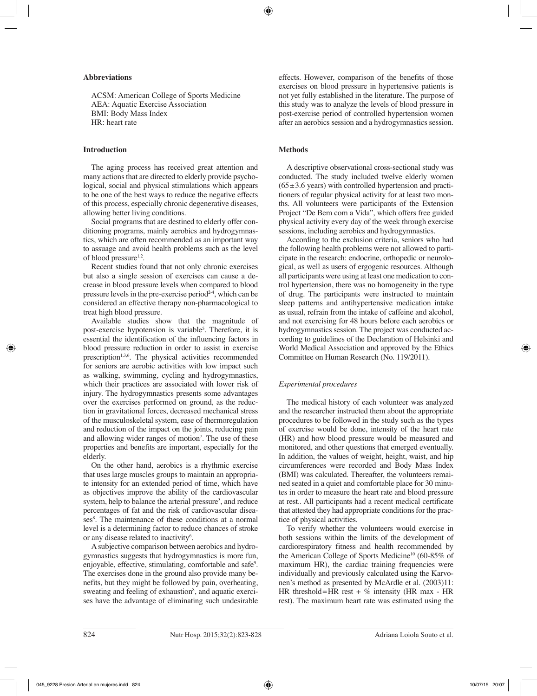# **Abbreviations**

ACSM: American College of Sports Medicine AEA: Aquatic Exercise Association BMI: Body Mass Index HR: heart rate

# **Introduction**

The aging process has received great attention and many actions that are directed to elderly provide psychological, social and physical stimulations which appears to be one of the best ways to reduce the negative effects of this process, especially chronic degenerative diseases, allowing better living conditions.

Social programs that are destined to elderly offer conditioning programs, mainly aerobics and hydrogymnastics, which are often recommended as an important way to assuage and avoid health problems such as the level of blood pressure<sup>1,2</sup>.

Recent studies found that not only chronic exercises but also a single session of exercises can cause a decrease in blood pressure levels when compared to blood pressure levels in the pre-exercise period<sup>2-4</sup>, which can be considered an effective therapy non-pharmacological to treat high blood pressure.

Available studies show that the magnitude of post-exercise hypotension is variable<sup>5</sup>. Therefore, it is essential the identification of the influencing factors in blood pressure reduction in order to assist in exercise prescription<sup>1,3,6</sup>. The physical activities recommended for seniors are aerobic activities with low impact such as walking, swimming, cycling and hydrogymnastics, which their practices are associated with lower risk of injury. The hydrogymnastics presents some advantages over the exercises performed on ground, as the reduction in gravitational forces, decreased mechanical stress of the musculoskeletal system, ease of thermoregulation and reduction of the impact on the joints, reducing pain and allowing wider ranges of motion7 . The use of these properties and benefits are important, especially for the elderly.

On the other hand, aerobics is a rhythmic exercise that uses large muscles groups to maintain an appropriate intensity for an extended period of time, which have as objectives improve the ability of the cardiovascular system, help to balance the arterial pressure<sup>3</sup>, and reduce percentages of fat and the risk of cardiovascular diseases<sup>8</sup>. The maintenance of these conditions at a normal level is a determining factor to reduce chances of stroke or any disease related to inactivity<sup>6</sup>.

A subjective comparison between aerobics and hydrogymnastics suggests that hydrogymnastics is more fun, enjoyable, effective, stimulating, comfortable and safe<sup>9</sup>. The exercises done in the ground also provide many benefits, but they might be followed by pain, overheating, sweating and feeling of exhaustion<sup>8</sup>, and aquatic exercises have the advantage of eliminating such undesirable

effects. However, comparison of the benefits of those exercises on blood pressure in hypertensive patients is not yet fully established in the literature. The purpose of this study was to analyze the levels of blood pressure in post-exercise period of controlled hypertension women after an aerobics session and a hydrogymnastics session.

# **Methods**

A descriptive observational cross-sectional study was conducted. The study included twelve elderly women  $(65±3.6 \text{ years})$  with controlled hypertension and practitioners of regular physical activity for at least two months. All volunteers were participants of the Extension Project "De Bem com a Vida", which offers free guided physical activity every day of the week through exercise sessions, including aerobics and hydrogymnastics.

According to the exclusion criteria, seniors who had the following health problems were not allowed to participate in the research: endocrine, orthopedic or neurological, as well as users of ergogenic resources. Although all participants were using at least one medication to control hypertension, there was no homogeneity in the type of drug. The participants were instructed to maintain sleep patterns and antihypertensive medication intake as usual, refrain from the intake of caffeine and alcohol, and not exercising for 48 hours before each aerobics or hydrogymnastics session. The project was conducted according to guidelines of the Declaration of Helsinki and World Medical Association and approved by the Ethics Committee on Human Research (No. 119/2011).

# *Experimental procedures*

The medical history of each volunteer was analyzed and the researcher instructed them about the appropriate procedures to be followed in the study such as the types of exercise would be done, intensity of the heart rate (HR) and how blood pressure would be measured and monitored, and other questions that emerged eventually. In addition, the values of weight, height, waist, and hip circumferences were recorded and Body Mass Index (BMI) was calculated. Thereafter, the volunteers remained seated in a quiet and comfortable place for 30 minutes in order to measure the heart rate and blood pressure at rest.. All participants had a recent medical certificate that attested they had appropriate conditions for the practice of physical activities.

To verify whether the volunteers would exercise in both sessions within the limits of the development of cardiorespiratory fitness and health recommended by the American College of Sports Medicine<sup>10</sup> (60-85% of maximum HR), the cardiac training frequencies were individually and previously calculated using the Karvonen's method as presented by McArdle et al. (2003)11: HR threshold=HR rest +  $\%$  intensity (HR max - HR rest). The maximum heart rate was estimated using the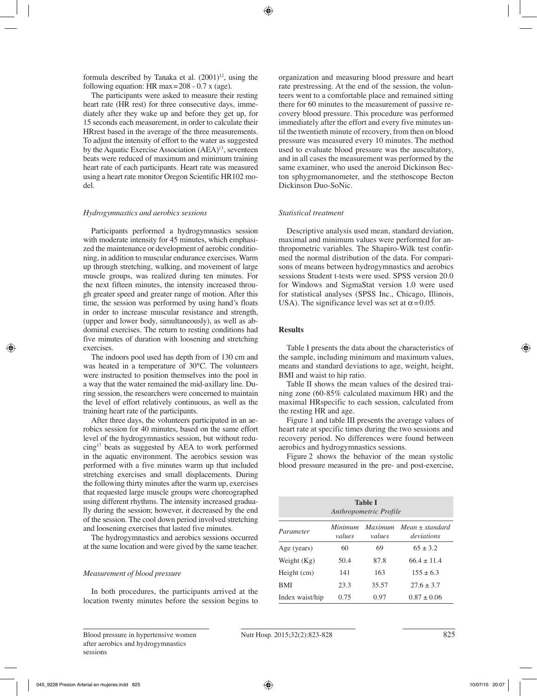formula described by Tanaka et al.  $(2001)^{12}$ , using the following equation: HR max=208 - 0.7 x (age).

The participants were asked to measure their resting heart rate (HR rest) for three consecutive days, immediately after they wake up and before they get up, for 15 seconds each measurement, in order to calculate their HRrest based in the average of the three measurements. To adjust the intensity of effort to the water as suggested by the Aquatic Exercise Association (AEA)<sup>13</sup>, seventeen beats were reduced of maximum and minimum training heart rate of each participants. Heart rate was measured using a heart rate monitor Oregon Scientific HR102 model.

# *Hydrogymnastics and aerobics sessions*

Participants performed a hydrogymnastics session with moderate intensity for 45 minutes, which emphasized the maintenance or development of aerobic conditioning, in addition to muscular endurance exercises. Warm up through stretching, walking, and movement of large muscle groups, was realized during ten minutes. For the next fifteen minutes, the intensity increased through greater speed and greater range of motion. After this time, the session was performed by using hand's floats in order to increase muscular resistance and strength, (upper and lower body, simultaneously), as well as abdominal exercises. The return to resting conditions had five minutes of duration with loosening and stretching exercises.

The indoors pool used has depth from of 130 cm and was heated in a temperature of 30°C. The volunteers were instructed to position themselves into the pool in a way that the water remained the mid-axillary line. During session, the researchers were concerned to maintain the level of effort relatively continuous, as well as the training heart rate of the participants.

After three days, the volunteers participated in an aerobics session for 40 minutes, based on the same effort level of the hydrogymnastics session, but without reducing17 beats as suggested by AEA to work performed in the aquatic environment. The aerobics session was performed with a five minutes warm up that included stretching exercises and small displacements. During the following thirty minutes after the warm up, exercises that requested large muscle groups were choreographed using different rhythms. The intensity increased gradually during the session; however, it decreased by the end of the session. The cool down period involved stretching and loosening exercises that lasted five minutes.

The hydrogymnastics and aerobics sessions occurred at the same location and were gived by the same teacher.

# *Measurement of blood pressure*

In both procedures, the participants arrived at the location twenty minutes before the session begins to organization and measuring blood pressure and heart rate prestressing. At the end of the session, the volunteers went to a comfortable place and remained sitting there for 60 minutes to the measurement of passive recovery blood pressure. This procedure was performed immediately after the effort and every five minutes until the twentieth minute of recovery, from then on blood pressure was measured every 10 minutes. The method used to evaluate blood pressure was the auscultatory, and in all cases the measurement was performed by the same examiner, who used the aneroid Dickinson Becton sphygmomanometer, and the stethoscope Becton Dickinson Duo-SoNic.

# *Statistical treatment*

Descriptive analysis used mean, standard deviation, maximal and minimum values were performed for anthropometric variables. The Shapiro-Wilk test confirmed the normal distribution of the data. For comparisons of means between hydrogymnastics and aerobics sessions Student t-tests were used. SPSS version 20.0 for Windows and SigmaStat version 1.0 were used for statistical analyses (SPSS Inc., Chicago, Illinois, USA). The significance level was set at  $\alpha$ =0.05.

# **Results**

Table I presents the data about the characteristics of the sample, including minimum and maximum values, means and standard deviations to age, weight, height, BMI and waist to hip ratio.

Table II shows the mean values of the desired training zone (60-85% calculated maximum HR) and the maximal HRspecific to each session, calculated from the resting HR and age.

Figure 1 and table III presents the average values of heart rate at specific times during the two sessions and recovery period. No differences were found between aerobics and hydrogymnastics sessions.

Figure 2 shows the behavior of the mean systolic blood pressure measured in the pre- and post-exercise,

| <b>Table I</b><br>Anthropometric Profile |                   |                          |                                   |  |  |  |  |
|------------------------------------------|-------------------|--------------------------|-----------------------------------|--|--|--|--|
| Parameter                                | Minimum<br>values | <i>Maximum</i><br>values | $Mean \pm standard$<br>deviations |  |  |  |  |
| Age (years)                              | 60                | 69                       | $65 + 3.2$                        |  |  |  |  |
| Weight $(Kg)$                            | 50.4              | 87.8                     | $66.4 + 11.4$                     |  |  |  |  |
| Height (cm)                              | 141               | 163                      | $155 + 63$                        |  |  |  |  |
| <b>BMI</b>                               | 23.3              | 35.57                    | $27.6 + 3.7$                      |  |  |  |  |
| Index waist/hip                          | 0.75              | 0.97                     | $0.87 \pm 0.06$                   |  |  |  |  |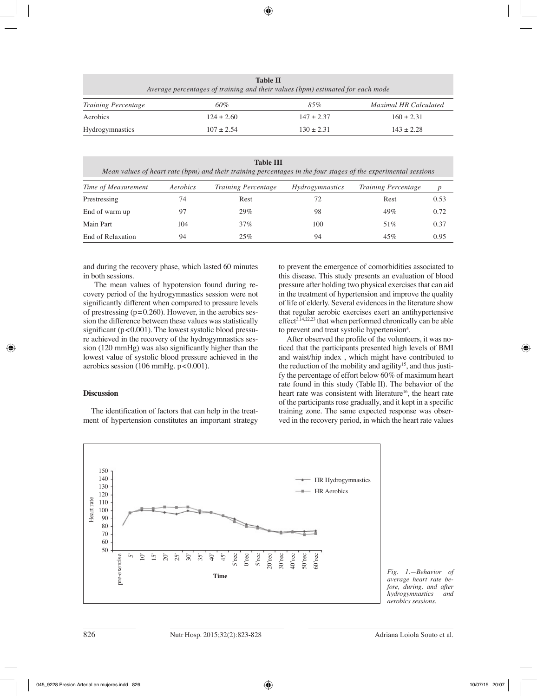| <b>Table II</b><br>Average percentages of training and their values (bpm) estimated for each mode |                |                |                              |  |  |  |  |
|---------------------------------------------------------------------------------------------------|----------------|----------------|------------------------------|--|--|--|--|
| <i>Training Percentage</i>                                                                        | 60%            | 85%            | <b>Maximal HR Calculated</b> |  |  |  |  |
| Aerobics                                                                                          | $124 \pm 2.60$ | $147 \pm 2.37$ | $160 \pm 2.31$               |  |  |  |  |
| Hydrogymnastics                                                                                   | $107 \pm 2.54$ | $130 + 2.31$   | $143 \pm 2.28$               |  |  |  |  |

**Table III**

*Mean values of heart rate (bpm) and their training percentages in the four stages of the experimental sessions*

| Time of Measurement | Aerobics | <b>Training Percentage</b> | <i>Hydrogymnastics</i> | <b>Training Percentage</b> | $\boldsymbol{p}$ |
|---------------------|----------|----------------------------|------------------------|----------------------------|------------------|
| Prestressing        | 74       | Rest                       | 72                     | Rest                       | 0.53             |
| End of warm up      |          | 29%                        | 98                     | 49%                        | 0.72             |
| Main Part           | 104      | 37%                        | 100                    | 51%                        | 0.37             |
| End of Relaxation   | 94       | 25%                        | 94                     | 45%                        | 0.95             |

and during the recovery phase, which lasted 60 minutes in both sessions.

The mean values of hypotension found during recovery period of the hydrogymnastics session were not significantly different when compared to pressure levels of prestressing  $(p=0.260)$ . However, in the aerobics session the difference between these values was statistically significant ( $p < 0.001$ ). The lowest systolic blood pressure achieved in the recovery of the hydrogymnastics session (120 mmHg) was also significantly higher than the lowest value of systolic blood pressure achieved in the aerobics session (106 mmHg.  $p < 0.001$ ).

# **Discussion**

The identification of factors that can help in the treatment of hypertension constitutes an important strategy to prevent the emergence of comorbidities associated to this disease. This study presents an evaluation of blood pressure after holding two physical exercises that can aid in the treatment of hypertension and improve the quality of life of elderly. Several evidences in the literature show that regular aerobic exercises exert an antihypertensive effect<sup>3,14,22,23</sup> that when performed chronically can be able to prevent and treat systolic hypertension<sup>4</sup>.

After observed the profile of the volunteers, it was noticed that the participants presented high levels of BMI and waist/hip index , which might have contributed to the reduction of the mobility and agility<sup>15</sup>, and thus justify the percentage of effort below 60% of maximum heart rate found in this study (Table II). The behavior of the heart rate was consistent with literature<sup>16</sup>, the heart rate of the participants rose gradually, and it kept in a specific training zone. The same expected response was observed in the recovery period, in which the heart rate values



*Fig. 1.—Behavior of average heart rate before, during, and after hydrogymnastics aerobics sessions.*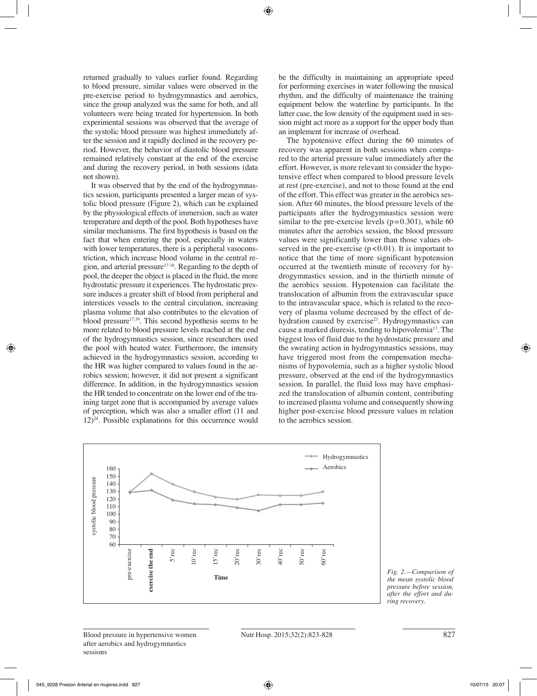returned gradually to values earlier found. Regarding to blood pressure, similar values were observed in the pre-exercise period to hydrogymnastics and aerobics, since the group analyzed was the same for both, and all volunteers were being treated for hypertension. In both experimental sessions was observed that the average of the systolic blood pressure was highest immediately after the session and it rapidly declined in the recovery period. However, the behavior of diastolic blood pressure remained relatively constant at the end of the exercise and during the recovery period, in both sessions (data not shown).

It was observed that by the end of the hydrogymnastics session, participants presented a larger mean of systolic blood pressure (Figure 2), which can be explained by the physiological effects of immersion, such as water temperature and depth of the pool. Both hypotheses have similar mechanisms. The first hypothesis is based on the fact that when entering the pool, especially in waters with lower temperatures, there is a peripheral vasoconstriction, which increase blood volume in the central region, and arterial pressure17-18. Regarding to the depth of pool, the deeper the object is placed in the fluid, the more hydrostatic pressure it experiences. The hydrostatic pressure induces a greater shift of blood from peripheral and interstices vessels to the central circulation, increasing plasma volume that also contributes to the elevation of blood pressure $17,19$ . This second hypothesis seems to be more related to blood pressure levels reached at the end of the hydrogymnastics session, since researchers used the pool with heated water. Furthermore, the intensity achieved in the hydrogymnastics session, according to the HR was higher compared to values found in the aerobics session; however, it did not present a significant difference. In addition, in the hydrogymnastics session the HR tended to concentrate on the lower end of the training target zone that is accompanied by average values of perception, which was also a smaller effort (11 and  $12)^{24}$ . Possible explanations for this occurrence would

be the difficulty in maintaining an appropriate speed for performing exercises in water following the musical rhythm, and the difficulty of maintenance the training equipment below the waterline by participants. In the latter case, the low density of the equipment used in session might act more as a support for the upper body than an implement for increase of overhead.

The hypotensive effect during the 60 minutes of recovery was apparent in both sessions when compared to the arterial pressure value immediately after the effort. However, is more relevant to consider the hypotensive effect when compared to blood pressure levels at rest (pre-exercise), and not to those found at the end of the effort. This effect was greater in the aerobics session. After 60 minutes, the blood pressure levels of the participants after the hydrogymnastics session were similar to the pre-exercise levels  $(p=0.301)$ , while 60 minutes after the aerobics session, the blood pressure values were significantly lower than those values observed in the pre-exercise  $(p<0.01)$ . It is important to notice that the time of more significant hypotension occurred at the twentieth minute of recovery for hydrogymnastics session, and in the thirtieth minute of the aerobics session. Hypotension can facilitate the translocation of albumin from the extravascular space to the intravascular space, which is related to the recovery of plasma volume decreased by the effect of dehydration caused by exercise<sup>21</sup>. Hydrogymnastics can cause a marked diuresis, tending to hipovolemia17. The biggest loss of fluid due to the hydrostatic pressure and the sweating action in hydrogymnastics sessions, may have triggered most from the compensation mechanisms of hypovolemia, such as a higher systolic blood pressure, observed at the end of the hydrogymnastics session. In parallel, the fluid loss may have emphasized the translocation of albumin content, contributing to increased plasma volume and consequently showing higher post-exercise blood pressure values in relation to the aerobics session.